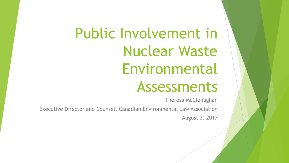# Public Involvement in Nuclear Waste Environmental Assessments

Theresa McClenaghan

Executive Director and Counsel, Canadian Environmental Law Association August 3, 2017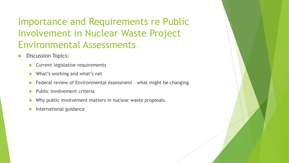### Importance and Requirements re Public Involvement in Nuclear Waste Project Environmental Assessments

- Discussion Topics:
	- **Current legislative requirements**
	- What's working and what's not
	- Federal review of Environmental Assessment what might be changing
	- Public involvement criteria
	- Why public involvement matters in nuclear waste proposals
	- International guidance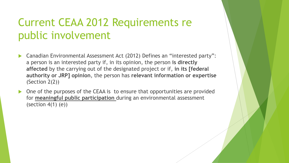### Current CEAA 2012 Requirements re public involvement

- Canadian Environmental Assessment Act (2012) Defines an "interested party": a person is an interested party if, in its opinion, the person **is directly affected** by the carrying out of the designated project or if, **in its [federal authority or JRP] opinion**, the person has **relevant information or expertise**  (Section 2(2))
- One of the purposes of the CEAA is to ensure that opportunities are provided for **meaningful public participation** during an environmental assessment (section  $4(1)$  (e))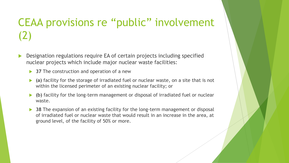# CEAA provisions re "public" involvement (2)

- Designation regulations require EA of certain projects including specified nuclear projects which include major nuclear waste facilities:
	- **37** The construction and operation of a new
	- **(a)** facility for the storage of irradiated fuel or nuclear waste, on a site that is not within the licensed perimeter of an existing nuclear facility; or
	- **(b)** facility for the long-term management or disposal of irradiated fuel or nuclear waste.
	- **38** The expansion of an existing facility for the long-term management or disposal of irradiated fuel or nuclear waste that would result in an increase in the area, at ground level, of the facility of 50% or more.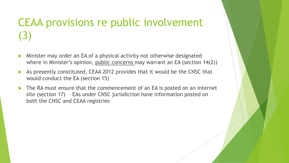# CEAA provisions re public involvement (3)

- Minister may order an EA of a physical activity not otherwise designated where in Minister's opinion, public concerns may warrant an EA (section 14(2))
- As presently constituted, CEAA 2012 provides that it would be the CNSC that would conduct the EA (section 15)
- The RA must ensure that the commencement of an EA is posted on an internet site (section 17) – EAs under CNSC jurisdiction have information posted on both the CNSC and CEAA registries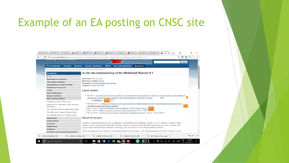### Example of an EA posting on CNSC site

| <u>Julialy Maritimaalahi</u>                                                                                                                                                                                                                                                                                                                                                                                                         | Search                                                                                                                                                                                                                                                                                                                                                                                                                                                                                                                                                                                                                                                                                                                                                                                                                                                                                                                          |
|--------------------------------------------------------------------------------------------------------------------------------------------------------------------------------------------------------------------------------------------------------------------------------------------------------------------------------------------------------------------------------------------------------------------------------------|---------------------------------------------------------------------------------------------------------------------------------------------------------------------------------------------------------------------------------------------------------------------------------------------------------------------------------------------------------------------------------------------------------------------------------------------------------------------------------------------------------------------------------------------------------------------------------------------------------------------------------------------------------------------------------------------------------------------------------------------------------------------------------------------------------------------------------------------------------------------------------------------------------------------------------|
| <b>The Commission</b><br><b>Uranium</b><br><b>Reactors</b>                                                                                                                                                                                                                                                                                                                                                                           | <b>Acts and regulations</b><br><b>Nuclear substances</b><br><b>Waste</b><br><b>Resources</b>                                                                                                                                                                                                                                                                                                                                                                                                                                                                                                                                                                                                                                                                                                                                                                                                                                    |
| Resources > New nuclear projects > In situ decommissioning of the Whiteshell Reactor #1                                                                                                                                                                                                                                                                                                                                              |                                                                                                                                                                                                                                                                                                                                                                                                                                                                                                                                                                                                                                                                                                                                                                                                                                                                                                                                 |
| <b>Resources</b>                                                                                                                                                                                                                                                                                                                                                                                                                     | In situ decommissioning of the Whiteshell Reactor #1                                                                                                                                                                                                                                                                                                                                                                                                                                                                                                                                                                                                                                                                                                                                                                                                                                                                            |
| $A - Z$<br><b>Aboriginal consultation</b><br><b>CNSC quest speakers</b><br><b>Doing Business with the CNSC</b><br><b>Educational resources</b><br><b>Forms</b><br><b>Non-Proliferation</b><br><b>Nuclear Facilities</b><br><b>New nuclear projects</b><br>Darlington Nuclear Power Plant<br>Ontario Power Generation Deep Geologic<br>Repository<br>The Matoush Uranium Exploration Project<br>The Millennium Uranium Mining Project | <b>Start date: May 16, 2016</b><br>Reference number: 80124<br>Proponent: Canadian Nuclear Laboratories<br>Location: Pinawa, Manitoba<br><b>Latest Update</b><br>• May 2017- & Administrative Protocol between Canadian Nuclear Laboratories and the CNSC for the Renewal of the Whiteshell<br>Laboratories Licence and the Proposed In Situ Decommissioning of the WR-1 Reactor<br>(PDF)<br><b>NEIL</b> (PDF)<br>$\circ \stackrel{\ast}{\cong}$ Appendix A<br>• March 8, 2017 - & Record of Decision on the Scope of Environmental Assessments for Three Proposed Projects at Existing<br><b>SIFIL</b><br>Canadian Nuclear Laboratories' Facilities<br>• June 3, 2016 - Notice of Participant Funding Offering ( PFP Decision Report<br>• June 2, 2016 - Public Comments Invited on Project Description (source: CEAA website)<br>. May 16, 2016 - Notice of Commencement of an Environmental Assessment (source: CEAA website) |
| The Midwest Mining and Milling Project<br><b>News Room</b>                                                                                                                                                                                                                                                                                                                                                                           | <b>About the project</b>                                                                                                                                                                                                                                                                                                                                                                                                                                                                                                                                                                                                                                                                                                                                                                                                                                                                                                        |
| <b>Presentations</b><br><b>Protocols</b><br><b>Publications</b><br><b>Radiation</b>                                                                                                                                                                                                                                                                                                                                                  | Canadian Nuclear Laboratories (CNL) is proposing to decommission the Whiteshell Reactor #1 (WR-1 Reactor), a former nuclear<br>research reactor that operated until 1985. The WR-1 Reactor is located at the Whiteshell Laboratories (WL) site in Pinawa, MB,<br>approximately 100 kilometres northeast of Winnipeg, near the towns of Lac du Bonnet and Seven Sisters.                                                                                                                                                                                                                                                                                                                                                                                                                                                                                                                                                         |
| <b>Scientific and technical information</b>                                                                                                                                                                                                                                                                                                                                                                                          | CNL is proposing an in situ (leaving in place) decommissioning approach. In situ decommissioning of the WR-1 Reactor involves                                                                                                                                                                                                                                                                                                                                                                                                                                                                                                                                                                                                                                                                                                                                                                                                   |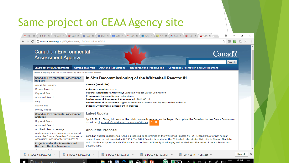### Same project on CEAA Agency site

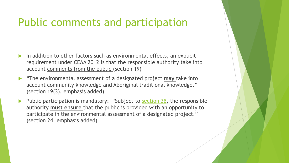### Public comments and participation

- In addition to other factors such as environmental effects, an explicit requirement under CEAA 2012 is that the responsible authority take into account comments from the public (section 19)
- "The environmental assessment of a designated project **may** take into account community knowledge and Aboriginal traditional knowledge." (section 19(3), emphasis added)
- Public participation is mandatory: "Subject to [section 28](https://www.canlii.org/en/ca/laws/stat/sc-2012-c-19-s-52/latest/sc-2012-c-19-s-52.html?searchUrlHash=AAAAAQAGcHVibGljAAAAAAE&offset=2792#sec28_smooth), the responsible authority **must ensure** that the public is provided with an opportunity to participate in the environmental assessment of a designated project." (section 24, emphasis added)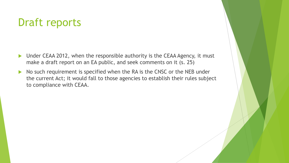### Draft reports

- ▶ Under CEAA 2012, when the responsible authority is the CEAA Agency, it must make a draft report on an EA public, and seek comments on it (s. 25)
- No such requirement is specified when the RA is the CNSC or the NEB under the current Act; it would fall to those agencies to establish their rules subject to compliance with CEAA.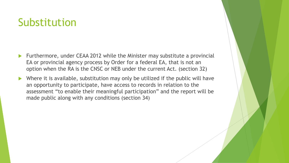### Substitution

- Furthermore, under CEAA 2012 while the Minister may substitute a provincial EA or provincial agency process by Order for a federal EA, that is not an option when the RA is the CNSC or NEB under the current Act. (section 32)
- Where it is available, substitution may only be utilized if the public will have an opportunity to participate, have access to records in relation to the assessment "to enable their meaningful participation" and the report will be made public along with any conditions (section 34)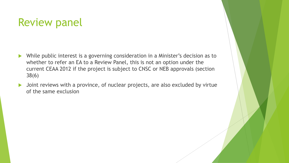### Review panel

- While public interest is a governing consideration in a Minister's decision as to whether to refer an EA to a Review Panel, this is not an option under the current CEAA 2012 if the project is subject to CNSC or NEB approvals (section 38(6)
- **D** Joint reviews with a province, of nuclear projects, are also excluded by virtue of the same exclusion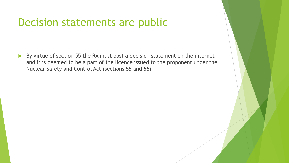### Decision statements are public

By virtue of section 55 the RA must post a decision statement on the internet and it is deemed to be a part of the licence issued to the proponent under the Nuclear Safety and Control Act (sections 55 and 56)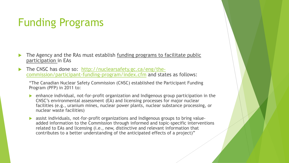### Funding Programs

- The Agency and the RAs must establish funding programs to facilitate public participation in EAs
- [The CNSC has done so: http://nuclearsafety.gc.ca/eng/the](http://nuclearsafety.gc.ca/eng/the-commission/participant-funding-program/index.cfm)commission/participant-funding-program/index.cfm and states as follows:

"The Canadian Nuclear Safety Commission (CNSC) established the Participant Funding Program (PFP) in 2011 to:

- enhance individual, not-for-profit organization and Indigenous group participation in the CNSC's environmental assessment (EA) and licensing processes for major nuclear facilities (e.g., uranium mines, nuclear power plants, nuclear substance processing, or nuclear waste facilities)
- assist individuals, not-for-profit organizations and Indigenous groups to bring valueadded information to the Commission through informed and topic-specific interventions related to EAs and licensing (i.e., new, distinctive and relevant information that contributes to a better understanding of the anticipated effects of a project)"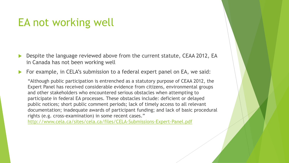### EA not working well

- Despite the language reviewed above from the current statute, CEAA 2012, EA in Canada has not been working well
- For example, in CELA's submission to a federal expert panel on EA, we said:

"Although public participation is entrenched as a statutory purpose of CEAA 2012, the Expert Panel has received considerable evidence from citizens, environmental groups and other stakeholders who encountered serious obstacles when attempting to participate in federal EA processes. These obstacles include: deficient or delayed public notices; short public comment periods; lack of timely access to all relevant documentation; inadequate awards of participant funding; and lack of basic procedural rights (e.g. cross-examination) in some recent cases."

<http://www.cela.ca/sites/cela.ca/files/CELA-Submissions-Expert-Panel.pdf>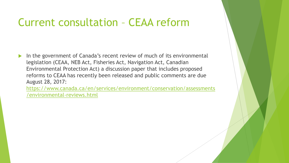### Current consultation – CEAA reform

 In the government of Canada's recent review of much of its environmental legislation (CEAA, NEB Act, Fisheries Act, Navigation Act, Canadian Environmental Protection Act) a discussion paper that includes proposed reforms to CEAA has recently been released and public comments are due August 28, 2017:

[https://www.canada.ca/en/services/environment/conservation/assessments](https://www.canada.ca/en/services/environment/conservation/assessments/environmental-reviews.html) /environmental-reviews.html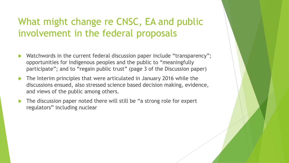### What might change re CNSC, EA and public involvement in the federal proposals

- Watchwords in the current federal discussion paper include "transparency"; opportunities for Indigenous peoples and the public to "meaningfully participate"; and to "regain public trust" (page 3 of the Discussion paper)
- The Interim principles that were articulated in January 2016 while the discussions ensued, also stressed science based decision making, evidence, and views of the public among others.
- The discussion paper noted there will still be "a strong role for expert regulators" including nuclear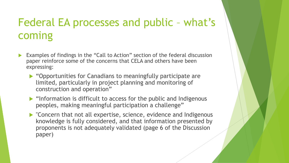### Federal EA processes and public – what's coming

- Examples of findings in the "Call to Action" section of the federal discussion paper reinforce some of the concerns that CELA and others have been expressing:
	- ▶ "Opportunities for Canadians to meaningfully participate are limited, particularly in project planning and monitoring of construction and operation"
	- $\blacktriangleright$  "Information is difficult to access for the public and Indigenous peoples, making meaningful participation a challenge"
	- "Concern that not all expertise, science, evidence and Indigenous knowledge is fully considered, and that information presented by proponents is not adequately validated (page 6 of the Discussion paper)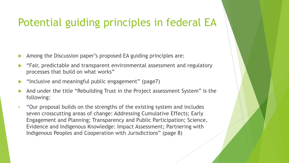### Potential guiding principles in federal EA

- Among the Discussion paper's proposed EA guiding principles are:
- "Fair, predictable and transparent environmental assessment and regulatory processes that build on what works"
- "Inclusive and meaningful public engagement" (page7)
- And under the title "Rebuilding Trust in the Project assessment System" is the following:
- "Our proposal builds on the strengths of the existing system and includes seven crosscutting areas of change: Addressing Cumulative Effects; Early Engagement and Planning; Transparency and Public Participation; Science, Evidence and Indigenous Knowledge: Impact Assessment; Partnering with Indigenous Peoples and Cooperation with Jurisdictions" (page 8)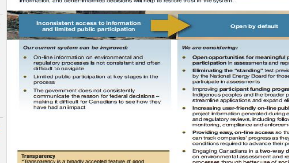information, and better-informed decisions will help to restore trust in the system.

Inconsistent access to information and limited public participation

#### Our current system can be improved:

- On-line information on environmental and regulatory processes is not consistent and often difficult to navigate
- Limited public participation at key stages in the process<sup>®</sup>
- The government does not consistently communicate the reason for federal decisions making it difficult for Canadians to see how they have had an impact

#### **Transparency**

"Transparency is a broadly accepted feature of good

### We are considering:

Open opportunities for meaningful p participation in assessments and regi

Open by default

- Eliminating the "standing" test previo by the National Energy Board for those participate in assessments
- Improving participant funding progra Indigenous peoples and the broader p streamline applications and expand eli
- Increasing user-friendly on-line publ project information generated during e and regulatory reviews, including follow monitoring, compliance and enforcem
- Providing easy, on-line access so the can track companies' progress as they conditions required to advance their pr
- Engaging Canadians in a two-way d on environmental assessment and re nmngeege through hatter use of soni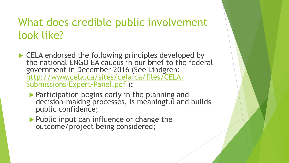### What does credible public involvement look like?

- ▶ CELA endorsed the following principles developed by the national ENGO EA caucus in our brief to the federal government in December 2016 (See Lindgren: [http://www.cela.ca/sites/cela.ca/files/CELA-](http://www.cela.ca/sites/cela.ca/files/CELA-Submissions-Expert-Panel.pdf)Submissions-Expert-Panel.pdf ):
	- **Participation begins early in the planning and** decision-making processes, is meaningful and builds public confidence;
	- Public input can influence or change the outcome/project being considered;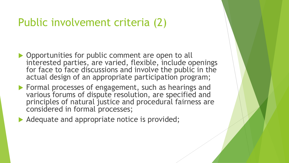### Public involvement criteria (2)

- **Opportunities for public comment are open to all** interested parties, are varied, flexible, include openings for face to face discussions and involve the public in the actual design of an appropriate participation program;
- **Formal processes of engagement, such as hearings and** various forums of dispute resolution, are specified and principles of natural justice and procedural fairness are considered in formal processes;
- Adequate and appropriate notice is provided;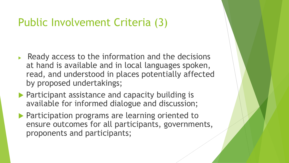### Public Involvement Criteria (3)

- $\triangleright$  Ready access to the information and the decisions at hand is available and in local languages spoken, read, and understood in places potentially affected by proposed undertakings;
- **Participant assistance and capacity building is** available for informed dialogue and discussion;
- **Participation programs are learning oriented to** ensure outcomes for all participants, governments, proponents and participants;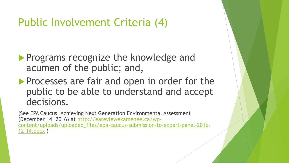### Public Involvement Criteria (4)

- **Programs recognize the knowledge and** acumen of the public; and,
- **Processes are fair and open in order for the** public to be able to understand and accept decisions.

(See EPA Caucus, Achieving Next Generation Environmental Assessment (December 14, 2016) at http://eareviewexamenee.ca/wp[content/uploads/uploaded\\_files/epa-caucus-submission-to-expert-panel-2016-](http://eareviewexamenee.ca/wp-content/uploads/uploaded_files/epa-caucus-submission-to-expert-panel-2016-12-14.docx) 12-14.docx )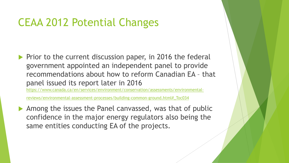### CEAA 2012 Potential Changes

 $\blacktriangleright$  Prior to the current discussion paper, in 2016 the federal government appointed an independent panel to provide recommendations about how to reform Canadian EA – that panel issued its report later in 2016

[https://www.canada.ca/en/services/environment/conservation/assessments/environmental-](https://www.canada.ca/en/services/environment/conservation/assessments/environmental-reviews/environmental-assessment-processes/building-common-ground.html#_Toc034)

reviews/environmental-assessment-processes/building-common-ground.html#\_Toc034

Among the issues the Panel canvassed, was that of public confidence in the major energy regulators also being the same entities conducting EA of the projects.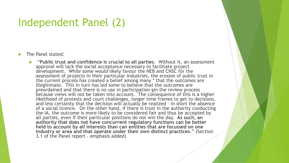### Independent Panel (2)

The Panel stated:

 "**Public trust and confidence is crucial to all parties**. Without it, an assessment approval will lack the social acceptance necessary to facilitate project development. While some would likely favour the NEB and CNSC for the assessment of projects in their particular industries, the erosion of public trust in the current process has created a belief among many \* that the outcomes are illegitimate. This in turn has led some to believe that the outcomes are preordained and that there is no use in participation gin the review process because views will not be taken into account. The consequence of this is a higher likelihood of protests and court challenges, longer time frames to get to decisions, and less certainty that the decision will actually be realized – in short the absence of a social licence. On the other hand, if there is trust in the authority conducting the IA, the outcome is more likely to be considered fair and thus be accepted by all parties, even if their particular positions do not win the day. **As such, an authority that does not have concurrent regulatory functions can be better held to account by all interests than can entities that are focussed on one industry or area and that operate under their own distinct practices**." (Section 3.1 of the Panel report – emphasis added)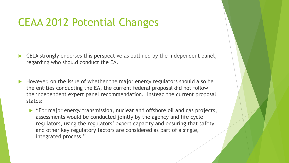### CEAA 2012 Potential Changes

- CELA strongly endorses this perspective as outlined by the independent panel, regarding who should conduct the EA.
- However, on the issue of whether the major energy regulators should also be the entities conducting the EA, the current federal proposal did not follow the independent expert panel recommendation. Instead the current proposal states:
	- "For major energy transmission, nuclear and offshore oil and gas projects, assessments would be conducted jointly by the agency and life cycle regulators, using the regulators' expert capacity and ensuring that safety and other key regulatory factors are considered as part of a single, integrated process."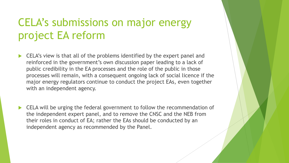### CELA's submissions on major energy project EA reform

- CELA's view is that all of the problems identified by the expert panel and reinforced in the government's own discussion paper leading to a lack of public credibility in the EA processes and the role of the public in those processes will remain, with a consequent ongoing lack of social licence if the major energy regulators continue to conduct the project EAs, even together with an independent agency.
- CELA will be urging the federal government to follow the recommendation of the independent expert panel, and to remove the CNSC and the NEB from their roles in conduct of EA; rather the EAs should be conducted by an independent agency as recommended by the Panel.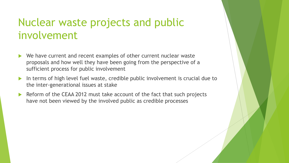### Nuclear waste projects and public involvement

- We have current and recent examples of other current nuclear waste proposals and how well they have been going from the perspective of a sufficient process for public involvement
- In terms of high level fuel waste, credible public involvement is crucial due to the inter-generational issues at stake
- Reform of the CEAA 2012 must take account of the fact that such projects have not been viewed by the involved public as credible processes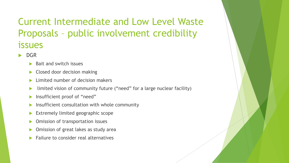### Current Intermediate and Low Level Waste Proposals – public involvement credibility issues

- DGR
	- Bait and switch issues
	- Closed door decision making
	- Limited number of decision makers
	- limited vision of community future ("need" for a large nuclear facility)
	- **Insufficient proof of "need"**
	- Insufficient consultation with whole community
	- Extremely limited geographic scope
	- Omission of transportation issues
	- Omission of great lakes as study area
	- Failure to consider real alternatives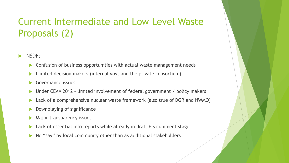### Current Intermediate and Low Level Waste Proposals (2)

- NSDF:
	- ▶ Confusion of business opportunities with actual waste management needs
	- **Limited decision makers (internal govt and the private consortium)**
	- Governance issues
	- ▶ Under CEAA 2012 limited involvement of federal government / policy makers
	- ▶ Lack of a comprehensive nuclear waste framework (also true of DGR and NWMO)
	- Downplaying of significance
	- Major transparency issues
	- ▶ Lack of essential info reports while already in draft EIS comment stage
	- $\triangleright$  No "say" by local community other than as additional stakeholders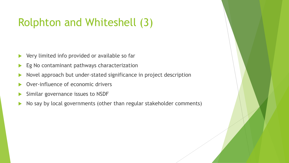### Rolphton and Whiteshell (3)

- ▶ Very limited info provided or available so far
- Eg No contaminant pathways characterization
- Novel approach but under-stated significance in project description
- Over-influence of economic drivers
- Similar governance issues to NSDF
- ▶ No say by local governments (other than regular stakeholder comments)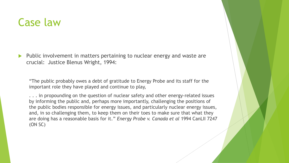### Case law

 Public involvement in matters pertaining to nuclear energy and waste are crucial: Justice Blenus Wright, 1994:

"The public probably owes a debt of gratitude to Energy Probe and its staff for the important role they have played and continue to play,

... in propounding on the question of nuclear safety and other energy-related issues by informing the public and, perhaps more importantly, challenging the positions of the public bodies responsible for energy issues, and particularly nuclear energy issues, and, in so challenging them, to keep them on their toes to make sure that what they are doing has a reasonable basis for it." *Energy Probe v. Canada et al* 1994 CanLII 7247 (ON SC)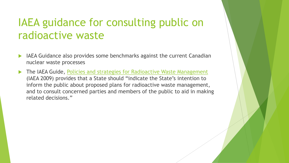### IAEA guidance for consulting public on radioactive waste

- IAEA Guidance also provides some benchmarks against the current Canadian nuclear waste processes
- The IAEA Guide, [Policies and strategies for Radioactive Waste Management](http://www-pub.iaea.org/MTCD/Publications/PDF/Pub1396_web.pdf) (IAEA 2009) provides that a State should "indicate the State's intention to inform the public about proposed plans for radioactive waste management, and to consult concerned parties and members of the public to aid in making related decisions."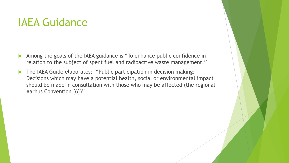### IAEA Guidance

- Among the goals of the IAEA guidance is "To enhance public confidence in relation to the subject of spent fuel and radioactive waste management."
- The IAEA Guide elaborates: "Public participation in decision making: Decisions which may have a potential health, social or environmental impact should be made in consultation with those who may be affected (the regional Aarhus Convention [6])"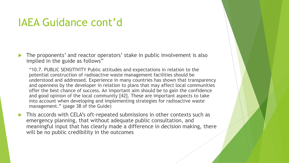### IAEA Guidance cont'd

▶ The proponents' and reactor operators' stake in public involvement is also implied in the guide as follows"

"10.7. PUBLIC SENSITIVITY Public attitudes and expectations in relation to the potential construction of radioactive waste management facilities should be understood and addressed. Experience in many countries has shown that transparency and openness by the developer in relation to plans that may affect local communities offer the best chance of success. An important aim should be to gain the confidence and good opinion of the local community [42]. These are important aspects to take into account when developing and implementing strategies for radioactive waste management." (page 38 of the Guide)

 This accords with CELA's oft-repeated submissions in other contexts such as emergency planning, that without adequate public consultation, and meaningful input that has clearly made a difference in decision making, there will be no public credibility in the outcomes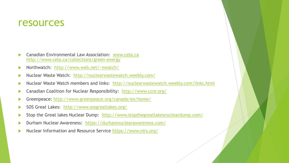### resources

- Canadian Environmental Law Association: [www.cela.ca](http://www.cela.ca/) <http://www.cela.ca/collections/green-energy>
- Northwatch: <http://www.web.net/~nwatch/>
- Nuclear Waste Watch: <http://nuclearwastewatch.weebly.com/>
- Nuclear Waste Watch members and links: <http://nuclearwastewatch.weebly.com/links.html>
- Canadian Coalition for Nuclear Responsibility: <http://www.ccnr.org/>
- Greenpeace:<http://www.greenpeace.org/canada/en/home/>
- SOS Great Lakes: <http://www.sosgreatlakes.org/>
- Stop the Great lakes Nuclear Dump: <http://www.stopthegreatlakesnucleardump.com/>
- Durham Nuclear Awareness: <https://durhamnuclearawareness.com/>
- Nuclear Information and Resource Service <https://www.nirs.org/>